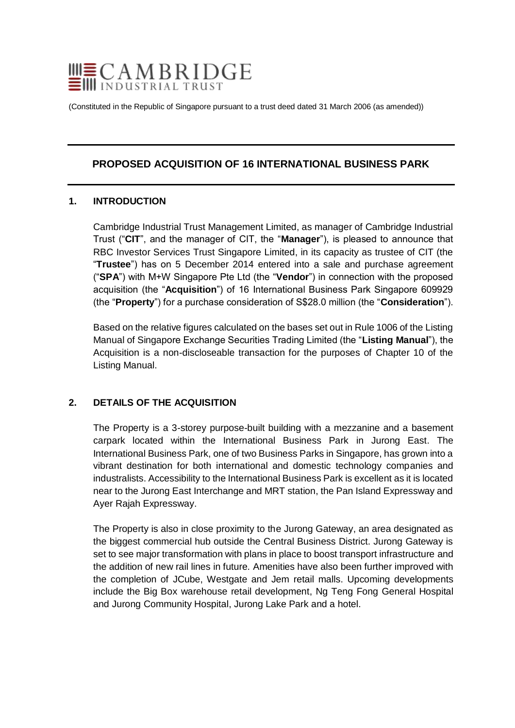

(Constituted in the Republic of Singapore pursuant to a trust deed dated 31 March 2006 (as amended))

# **PROPOSED ACQUISITION OF 16 INTERNATIONAL BUSINESS PARK**

### **1. INTRODUCTION**

Cambridge Industrial Trust Management Limited, as manager of Cambridge Industrial Trust ("**CIT**", and the manager of CIT, the "**Manager**"), is pleased to announce that RBC Investor Services Trust Singapore Limited, in its capacity as trustee of CIT (the "**Trustee**") has on 5 December 2014 entered into a sale and purchase agreement ("**SPA**") with M+W Singapore Pte Ltd (the "**Vendor**") in connection with the proposed acquisition (the "**Acquisition**") of 16 International Business Park Singapore 609929 (the "**Property**") for a purchase consideration of S\$28.0 million (the "**Consideration**").

Based on the relative figures calculated on the bases set out in Rule 1006 of the Listing Manual of Singapore Exchange Securities Trading Limited (the "**Listing Manual**"), the Acquisition is a non-discloseable transaction for the purposes of Chapter 10 of the Listing Manual.

### **2. DETAILS OF THE ACQUISITION**

The Property is a 3-storey purpose-built building with a mezzanine and a basement carpark located within the International Business Park in Jurong East. The International Business Park, one of two Business Parks in Singapore, has grown into a vibrant destination for both international and domestic technology companies and industralists. Accessibility to the International Business Park is excellent as it is located near to the Jurong East Interchange and MRT station, the Pan Island Expressway and Ayer Rajah Expressway.

The Property is also in close proximity to the Jurong Gateway, an area designated as the biggest commercial hub outside the Central Business District. Jurong Gateway is set to see major transformation with plans in place to boost transport infrastructure and the addition of new rail lines in future. Amenities have also been further improved with the completion of JCube, Westgate and Jem retail malls. Upcoming developments include the Big Box warehouse retail development, Ng Teng Fong General Hospital and Jurong Community Hospital, Jurong Lake Park and a hotel.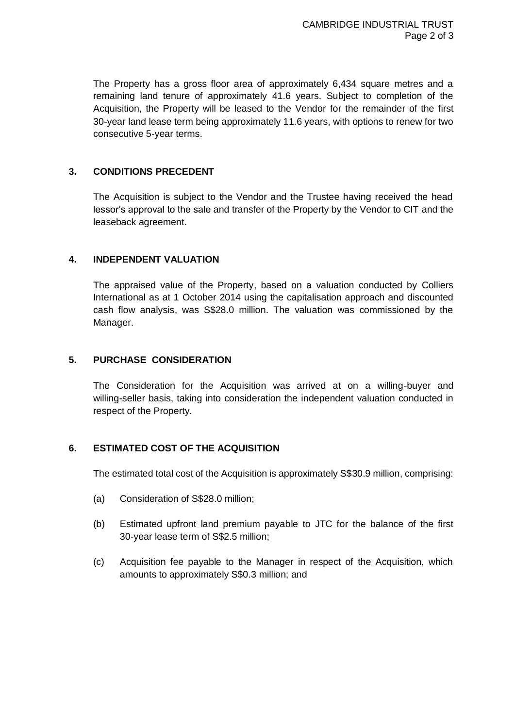The Property has a gross floor area of approximately 6,434 square metres and a remaining land tenure of approximately 41.6 years. Subject to completion of the Acquisition, the Property will be leased to the Vendor for the remainder of the first 30-year land lease term being approximately 11.6 years, with options to renew for two consecutive 5-year terms.

# **3. CONDITIONS PRECEDENT**

The Acquisition is subject to the Vendor and the Trustee having received the head lessor's approval to the sale and transfer of the Property by the Vendor to CIT and the leaseback agreement.

## **4. INDEPENDENT VALUATION**

The appraised value of the Property, based on a valuation conducted by Colliers International as at 1 October 2014 using the capitalisation approach and discounted cash flow analysis, was S\$28.0 million. The valuation was commissioned by the Manager.

## **5. PURCHASE CONSIDERATION**

The Consideration for the Acquisition was arrived at on a willing-buyer and willing-seller basis, taking into consideration the independent valuation conducted in respect of the Property.

# **6. ESTIMATED COST OF THE ACQUISITION**

The estimated total cost of the Acquisition is approximately S\$30.9 million, comprising:

- (a) Consideration of S\$28.0 million;
- (b) Estimated upfront land premium payable to JTC for the balance of the first 30-year lease term of S\$2.5 million;
- (c) Acquisition fee payable to the Manager in respect of the Acquisition, which amounts to approximately S\$0.3 million; and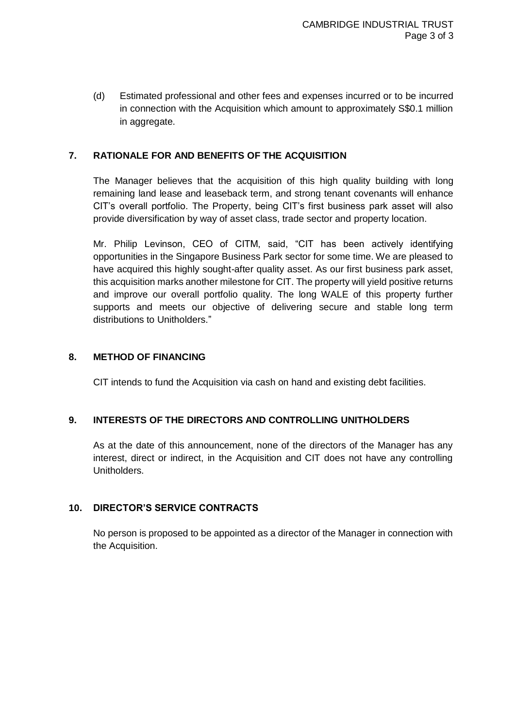(d) Estimated professional and other fees and expenses incurred or to be incurred in connection with the Acquisition which amount to approximately S\$0.1 million in aggregate.

# **7. RATIONALE FOR AND BENEFITS OF THE ACQUISITION**

The Manager believes that the acquisition of this high quality building with long remaining land lease and leaseback term, and strong tenant covenants will enhance CIT's overall portfolio. The Property, being CIT's first business park asset will also provide diversification by way of asset class, trade sector and property location.

Mr. Philip Levinson, CEO of CITM, said, "CIT has been actively identifying opportunities in the Singapore Business Park sector for some time. We are pleased to have acquired this highly sought-after quality asset. As our first business park asset, this acquisition marks another milestone for CIT. The property will yield positive returns and improve our overall portfolio quality. The long WALE of this property further supports and meets our objective of delivering secure and stable long term distributions to Unitholders."

### **8. METHOD OF FINANCING**

CIT intends to fund the Acquisition via cash on hand and existing debt facilities.

### **9. INTERESTS OF THE DIRECTORS AND CONTROLLING UNITHOLDERS**

As at the date of this announcement, none of the directors of the Manager has any interest, direct or indirect, in the Acquisition and CIT does not have any controlling Unitholders.

### **10. DIRECTOR'S SERVICE CONTRACTS**

No person is proposed to be appointed as a director of the Manager in connection with the Acquisition.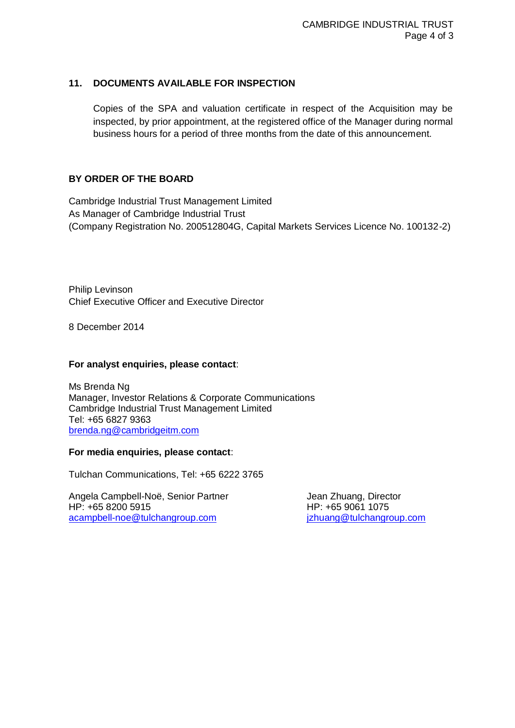## **11. DOCUMENTS AVAILABLE FOR INSPECTION**

Copies of the SPA and valuation certificate in respect of the Acquisition may be inspected, by prior appointment, at the registered office of the Manager during normal business hours for a period of three months from the date of this announcement.

## **BY ORDER OF THE BOARD**

Cambridge Industrial Trust Management Limited As Manager of Cambridge Industrial Trust (Company Registration No. 200512804G, Capital Markets Services Licence No. 100132-2)

Philip Levinson Chief Executive Officer and Executive Director

8 December 2014

#### **For analyst enquiries, please contact**:

Ms Brenda Ng Manager, Investor Relations & Corporate Communications Cambridge Industrial Trust Management Limited Tel: +65 6827 9363 [brenda.ng@cambridgeitm.com](mailto:brenda.ng@cambridgeitm.com)

#### **For media enquiries, please contact**:

Tulchan Communications, Tel: +65 6222 3765

Angela Campbell-Noë, Senior Partner **Greek and Schuang**, Director HP: +65 8200 5915 HP: +65 9061 1075 [acampbell-noe@tulchangroup.com](mailto:acampbell-noe@tulchangroup.com) interesting in the interesting of the interesting of the interesting of the inter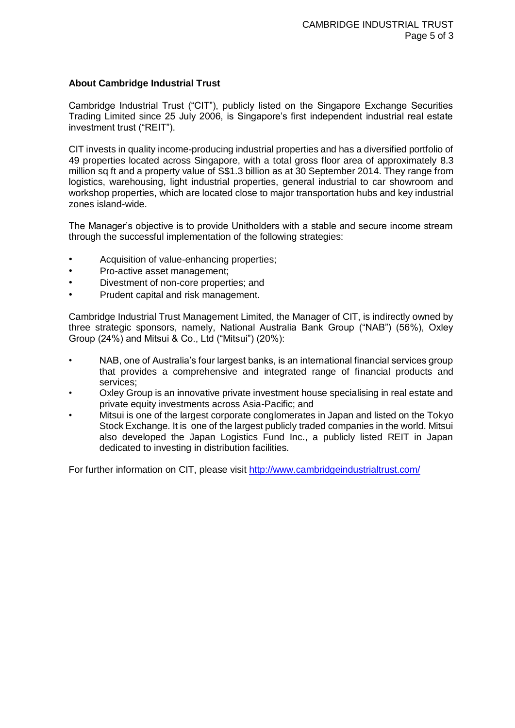### **About Cambridge Industrial Trust**

Cambridge Industrial Trust ("CIT"), publicly listed on the Singapore Exchange Securities Trading Limited since 25 July 2006, is Singapore's first independent industrial real estate investment trust ("REIT").

CIT invests in quality income-producing industrial properties and has a diversified portfolio of 49 properties located across Singapore, with a total gross floor area of approximately 8.3 million sq ft and a property value of S\$1.3 billion as at 30 September 2014. They range from logistics, warehousing, light industrial properties, general industrial to car showroom and workshop properties, which are located close to major transportation hubs and key industrial zones island-wide.

The Manager's objective is to provide Unitholders with a stable and secure income stream through the successful implementation of the following strategies:

- Acquisition of value-enhancing properties;
- Pro-active asset management;
- Divestment of non-core properties; and
- Prudent capital and risk management.

Cambridge Industrial Trust Management Limited, the Manager of CIT, is indirectly owned by three strategic sponsors, namely, National Australia Bank Group ("NAB") (56%), Oxley Group (24%) and Mitsui & Co., Ltd ("Mitsui") (20%):

- NAB, one of Australia's four largest banks, is an international financial services group that provides a comprehensive and integrated range of financial products and services;
- Oxley Group is an innovative private investment house specialising in real estate and private equity investments across Asia-Pacific; and
- Mitsui is one of the largest corporate conglomerates in Japan and listed on the Tokyo Stock Exchange. It is one of the largest publicly traded companies in the world. Mitsui also developed the Japan Logistics Fund Inc., a publicly listed REIT in Japan dedicated to investing in distribution facilities.

For further information on CIT, please visit<http://www.cambridgeindustrialtrust.com/>